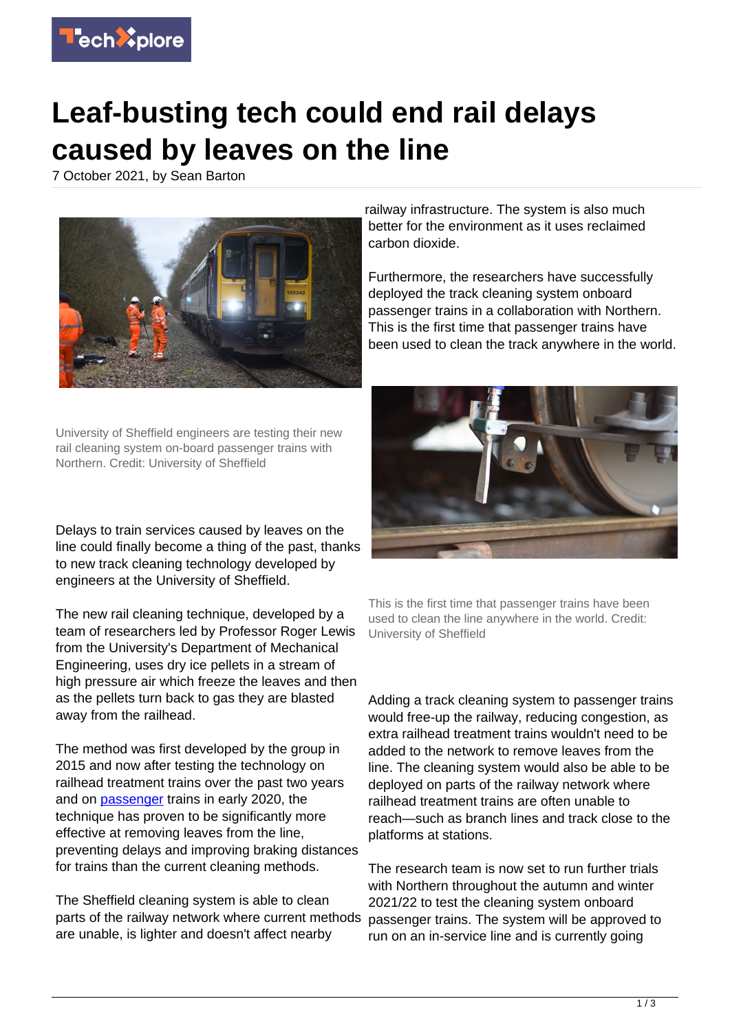

## **Leaf-busting tech could end rail delays caused by leaves on the line**

7 October 2021, by Sean Barton



University of Sheffield engineers are testing their new rail cleaning system on-board passenger trains with Northern. Credit: University of Sheffield

Delays to train services caused by leaves on the line could finally become a thing of the past, thanks to new track cleaning technology developed by engineers at the University of Sheffield.

The new rail cleaning technique, developed by a team of researchers led by Professor Roger Lewis from the University's Department of Mechanical Engineering, uses dry ice pellets in a stream of high pressure air which freeze the leaves and then as the pellets turn back to gas they are blasted away from the railhead.

The method was first developed by the group in 2015 and now after testing the technology on railhead treatment trains over the past two years and on [passenger](https://techxplore.com/tags/passenger/) trains in early 2020, the technique has proven to be significantly more effective at removing leaves from the line, preventing delays and improving braking distances for trains than the current cleaning methods.

The Sheffield cleaning system is able to clean parts of the railway network where current methods are unable, is lighter and doesn't affect nearby

railway infrastructure. The system is also much better for the environment as it uses reclaimed carbon dioxide.

Furthermore, the researchers have successfully deployed the track cleaning system onboard passenger trains in a collaboration with Northern. This is the first time that passenger trains have been used to clean the track anywhere in the world.



This is the first time that passenger trains have been used to clean the line anywhere in the world. Credit: University of Sheffield

Adding a track cleaning system to passenger trains would free-up the railway, reducing congestion, as extra railhead treatment trains wouldn't need to be added to the network to remove leaves from the line. The cleaning system would also be able to be deployed on parts of the railway network where railhead treatment trains are often unable to reach—such as branch lines and track close to the platforms at stations.

The research team is now set to run further trials with Northern throughout the autumn and winter 2021/22 to test the cleaning system onboard passenger trains. The system will be approved to run on an in-service line and is currently going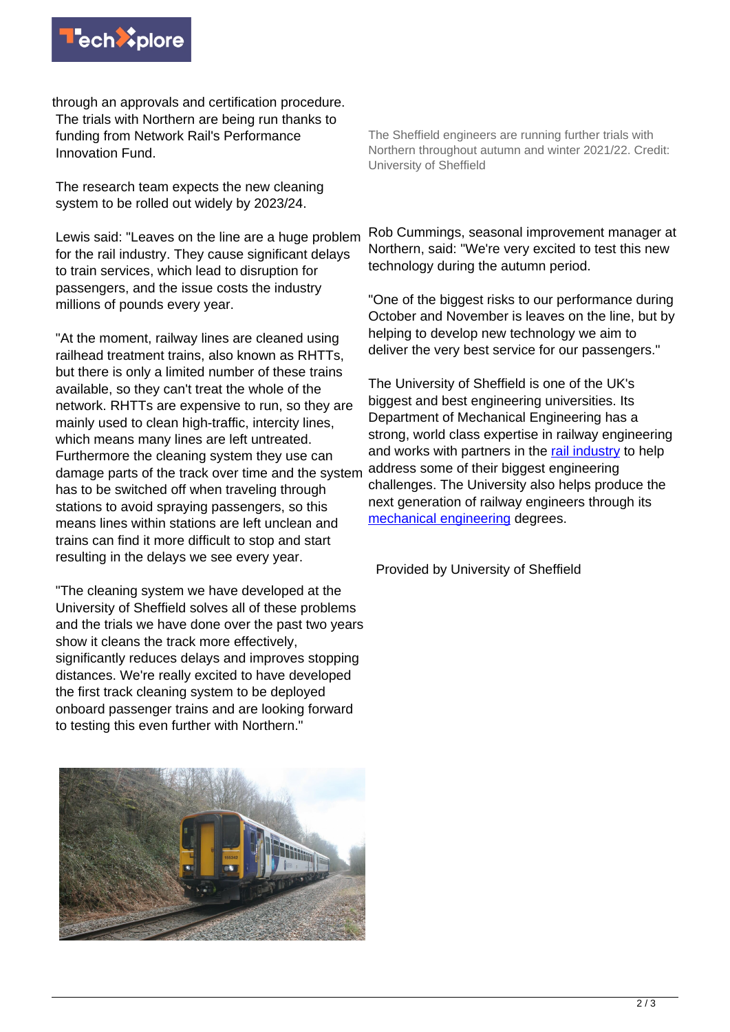

through an approvals and certification procedure. The trials with Northern are being run thanks to funding from Network Rail's Performance Innovation Fund.

The research team expects the new cleaning system to be rolled out widely by 2023/24.

Lewis said: "Leaves on the line are a huge problem for the rail industry. They cause significant delays to train services, which lead to disruption for passengers, and the issue costs the industry millions of pounds every year.

"At the moment, railway lines are cleaned using railhead treatment trains, also known as RHTTs, but there is only a limited number of these trains available, so they can't treat the whole of the network. RHTTs are expensive to run, so they are mainly used to clean high-traffic, intercity lines, which means many lines are left untreated. Furthermore the cleaning system they use can damage parts of the track over time and the system has to be switched off when traveling through stations to avoid spraying passengers, so this means lines within stations are left unclean and trains can find it more difficult to stop and start resulting in the delays we see every year.

"The cleaning system we have developed at the University of Sheffield solves all of these problems and the trials we have done over the past two years show it cleans the track more effectively, significantly reduces delays and improves stopping distances. We're really excited to have developed the first track cleaning system to be deployed onboard passenger trains and are looking forward to testing this even further with Northern."



The Sheffield engineers are running further trials with Northern throughout autumn and winter 2021/22. Credit: University of Sheffield

Rob Cummings, seasonal improvement manager at Northern, said: "We're very excited to test this new technology during the autumn period.

"One of the biggest risks to our performance during October and November is leaves on the line, but by helping to develop new technology we aim to deliver the very best service for our passengers."

The University of Sheffield is one of the UK's biggest and best engineering universities. Its Department of Mechanical Engineering has a strong, world class expertise in railway engineering and works with partners in the [rail industry](https://techxplore.com/tags/rail+industry/) to help address some of their biggest engineering challenges. The University also helps produce the next generation of railway engineers through its [mechanical engineering](https://techxplore.com/tags/mechanical+engineering/) degrees.

Provided by University of Sheffield